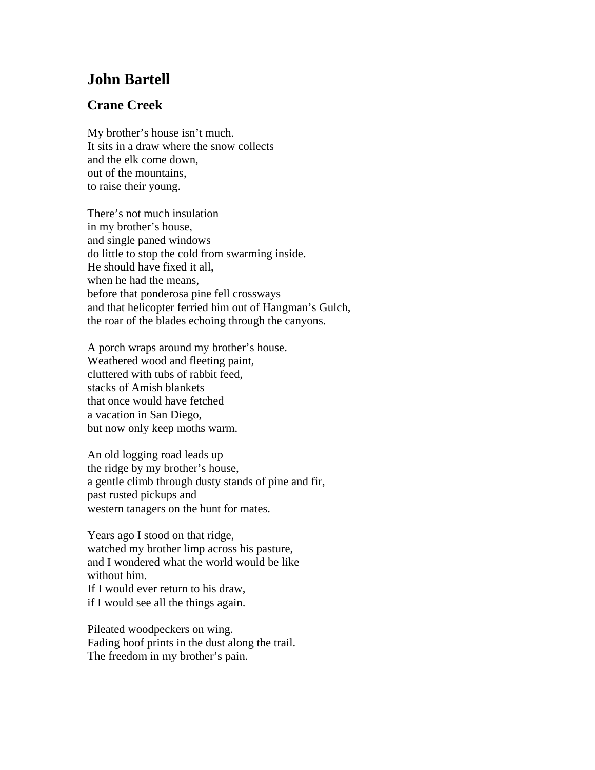## **John Bartell**

## **Crane Creek**

My brother's house isn't much. It sits in a draw where the snow collects and the elk come down, out of the mountains, to raise their young.

There's not much insulation in my brother's house, and single paned windows do little to stop the cold from swarming inside. He should have fixed it all, when he had the means, before that ponderosa pine fell crossways and that helicopter ferried him out of Hangman's Gulch, the roar of the blades echoing through the canyons.

A porch wraps around my brother's house. Weathered wood and fleeting paint, cluttered with tubs of rabbit feed, stacks of Amish blankets that once would have fetched a vacation in San Diego, but now only keep moths warm.

An old logging road leads up the ridge by my brother's house, a gentle climb through dusty stands of pine and fir, past rusted pickups and western tanagers on the hunt for mates.

Years ago I stood on that ridge, watched my brother limp across his pasture, and I wondered what the world would be like without him. If I would ever return to his draw,

if I would see all the things again.

Pileated woodpeckers on wing. Fading hoof prints in the dust along the trail.

The freedom in my brother's pain.